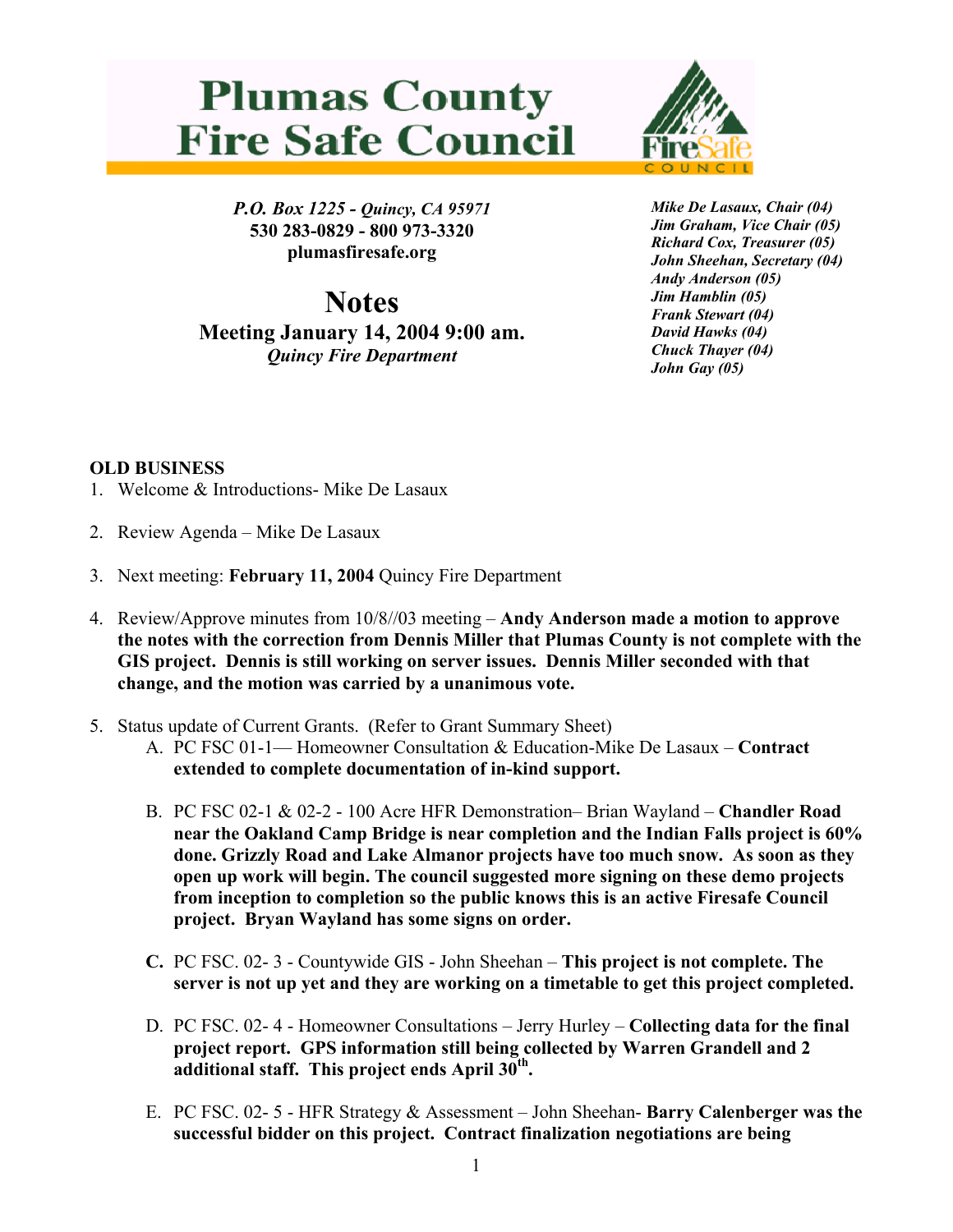## **Plumas County Fire Safe Council**



*P.O. Box 1225 - Quincy, CA 95971*  **530 283-0829 - 800 973-3320 plumasfiresafe.org** 

**Notes Meeting January 14, 2004 9:00 am.**  *Quincy Fire Department*

*Mike De Lasaux, Chair (04) Jim Graham, Vice Chair (05) Richard Cox, Treasurer (05) John Sheehan, Secretary (04) Andy Anderson (05) Jim Hamblin (05) Frank Stewart (04) David Hawks (04) Chuck Thayer (04) John Gay (05)*

## **OLD BUSINESS**

- 1. Welcome & Introductions- Mike De Lasaux
- 2. Review Agenda Mike De Lasaux
- 3. Next meeting: **February 11, 2004** Quincy Fire Department
- 4. Review/Approve minutes from 10/8//03 meeting **Andy Anderson made a motion to approve the notes with the correction from Dennis Miller that Plumas County is not complete with the GIS project. Dennis is still working on server issues. Dennis Miller seconded with that change, and the motion was carried by a unanimous vote.**
- 5. Status update of Current Grants. (Refer to Grant Summary Sheet)
	- A. PC FSC 01-1— Homeowner Consultation & Education-Mike De Lasaux **Contract extended to complete documentation of in-kind support.**
	- B. PC FSC 02-1 & 02-2 100 Acre HFR Demonstration– Brian Wayland **Chandler Road near the Oakland Camp Bridge is near completion and the Indian Falls project is 60% done. Grizzly Road and Lake Almanor projects have too much snow. As soon as they open up work will begin. The council suggested more signing on these demo projects from inception to completion so the public knows this is an active Firesafe Council project. Bryan Wayland has some signs on order.**
	- **C.** PC FSC. 02- 3 Countywide GIS John Sheehan **This project is not complete. The server is not up yet and they are working on a timetable to get this project completed.**
	- D. PC FSC. 02- 4 Homeowner Consultations Jerry Hurley **Collecting data for the final project report. GPS information still being collected by Warren Grandell and 2 additional staff. This project ends April 30th.**
	- E. PC FSC. 02- 5 HFR Strategy & Assessment John Sheehan- **Barry Calenberger was the successful bidder on this project. Contract finalization negotiations are being**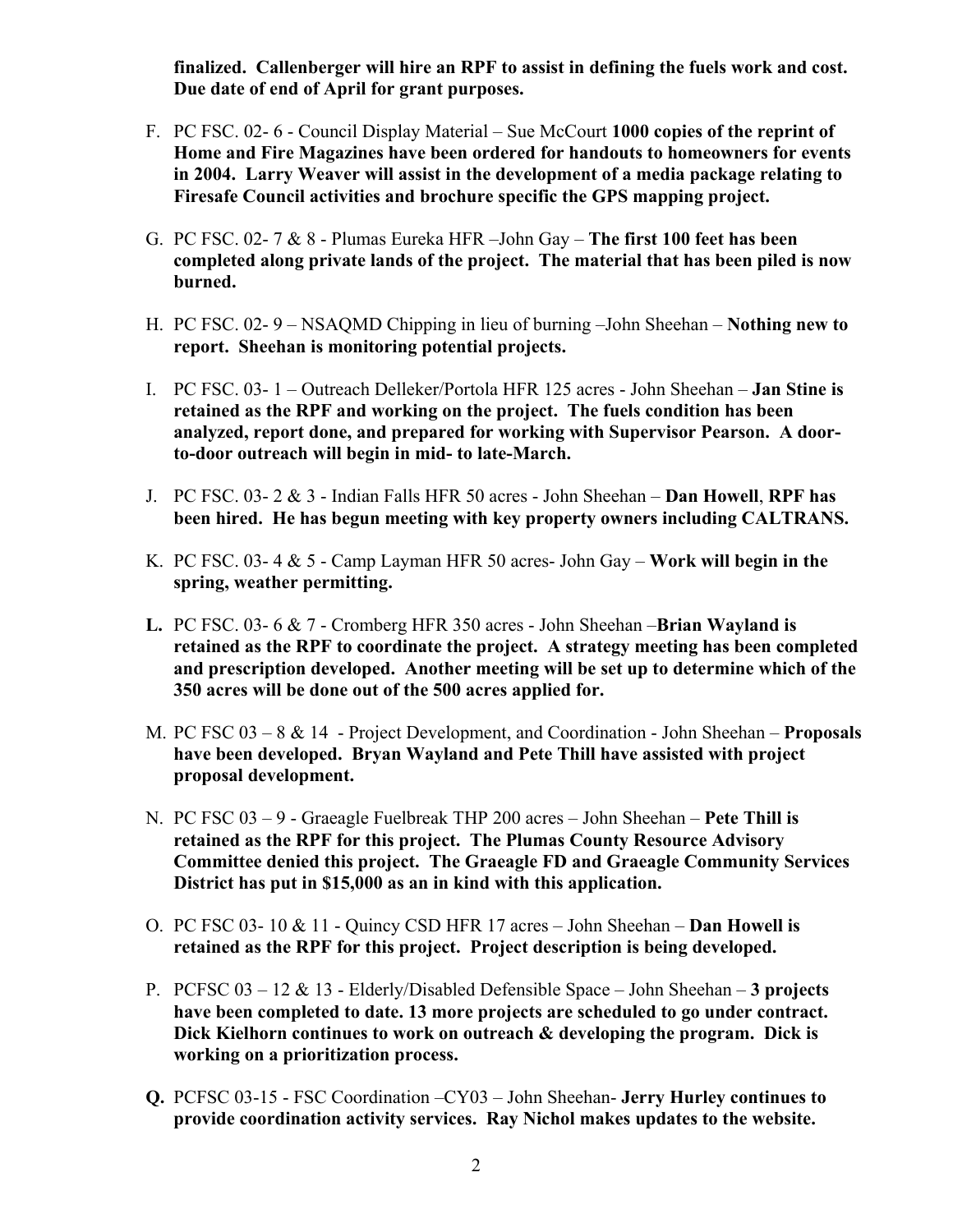**finalized. Callenberger will hire an RPF to assist in defining the fuels work and cost. Due date of end of April for grant purposes.**

- F. PC FSC. 02- 6 Council Display Material Sue McCourt **1000 copies of the reprint of Home and Fire Magazines have been ordered for handouts to homeowners for events in 2004. Larry Weaver will assist in the development of a media package relating to Firesafe Council activities and brochure specific the GPS mapping project.**
- G. PC FSC. 02- 7 & 8 Plumas Eureka HFR –John Gay **The first 100 feet has been completed along private lands of the project. The material that has been piled is now burned.**
- H. PC FSC. 02- 9 NSAQMD Chipping in lieu of burning –John Sheehan **Nothing new to report. Sheehan is monitoring potential projects.**
- I. PC FSC. 03- 1 Outreach Delleker/Portola HFR 125 acres John Sheehan **Jan Stine is retained as the RPF and working on the project. The fuels condition has been analyzed, report done, and prepared for working with Supervisor Pearson. A doorto-door outreach will begin in mid- to late-March.**
- J. PC FSC. 03- 2 & 3 Indian Falls HFR 50 acres John Sheehan **Dan Howell**, **RPF has been hired. He has begun meeting with key property owners including CALTRANS.**
- K. PC FSC. 03- 4 & 5 Camp Layman HFR 50 acres- John Gay **Work will begin in the spring, weather permitting.**
- **L.** PC FSC. 03- 6 & 7 Cromberg HFR 350 acres John Sheehan –**Brian Wayland is retained as the RPF to coordinate the project. A strategy meeting has been completed and prescription developed. Another meeting will be set up to determine which of the 350 acres will be done out of the 500 acres applied for.**
- M. PC FSC 03 8 & 14 Project Development, and Coordination John Sheehan – **Proposals have been developed. Bryan Wayland and Pete Thill have assisted with project proposal development.**
- N. PC FSC 03 9 Graeagle Fuelbreak THP 200 acres John Sheehan **Pete Thill is retained as the RPF for this project. The Plumas County Resource Advisory Committee denied this project. The Graeagle FD and Graeagle Community Services District has put in \$15,000 as an in kind with this application.**
- O. PC FSC 03- 10 & 11 Quincy CSD HFR 17 acres John Sheehan – **Dan Howell is retained as the RPF for this project. Project description is being developed.**
- P. PCFSC 03 12 & 13 Elderly/Disabled Defensible Space John Sheehan **3 projects have been completed to date. 13 more projects are scheduled to go under contract. Dick Kielhorn continues to work on outreach & developing the program. Dick is working on a prioritization process.**
- **Q.** PCFSC 03-15 FSC Coordination –CY03 John Sheehan- **Jerry Hurley continues to provide coordination activity services. Ray Nichol makes updates to the website.**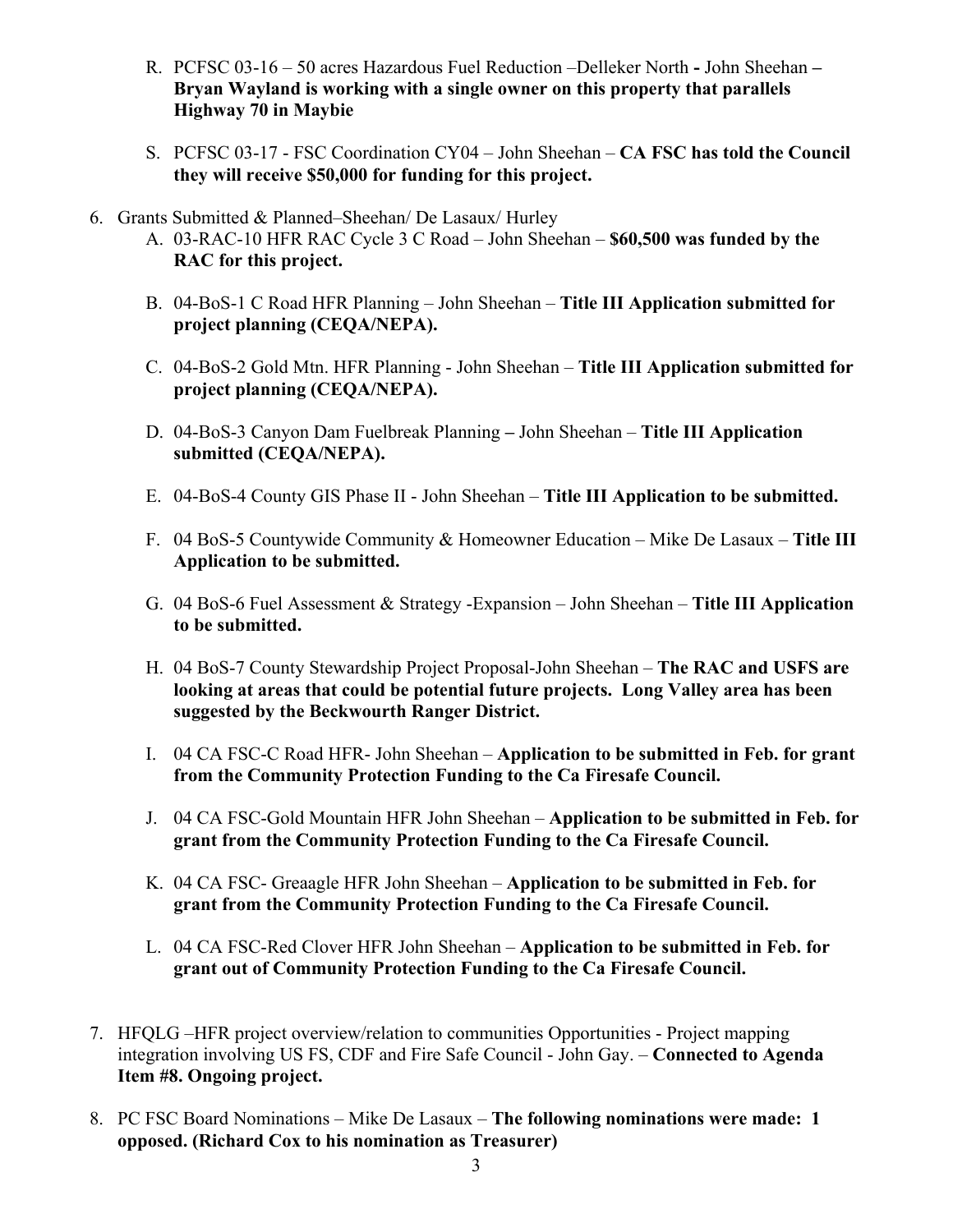- R. PCFSC 03-16 50 acres Hazardous Fuel Reduction –Delleker North **-** John Sheehan **Bryan Wayland is working with a single owner on this property that parallels Highway 70 in Maybie**
- S. PCFSC 03-17 FSC Coordination CY04 John Sheehan **CA FSC has told the Council they will receive \$50,000 for funding for this project.**
- 6. Grants Submitted & Planned–Sheehan/ De Lasaux/ Hurley
	- A. 03-RAC-10 HFR RAC Cycle 3 C Road John Sheehan **\$60,500 was funded by the RAC for this project.**
	- B. 04-BoS-1 C Road HFR Planning John Sheehan – **Title III Application submitted for project planning (CEQA/NEPA).**
	- C. 04-BoS-2 Gold Mtn. HFR Planning John Sheehan – **Title III Application submitted for project planning (CEQA/NEPA).**
	- D. 04-BoS-3 Canyon Dam Fuelbreak PlanningJohn Sheehan – **Title III Application submitted (CEQA/NEPA).**
	- E. 04-BoS-4 County GIS Phase II John Sheehan – **Title III Application to be submitted.**
	- F. 04 BoS-5 Countywide Community & Homeowner Education Mike De Lasaux – **Title III Application to be submitted.**
	- G. 04 BoS-6 Fuel Assessment & Strategy -Expansion John Sheehan – **Title III Application to be submitted.**
	- H. 04 BoS-7 County Stewardship Project Proposal-John Sheehan **The RAC and USFS are looking at areas that could be potential future projects. Long Valley area has been suggested by the Beckwourth Ranger District.**
	- I. 04 CA FSC-C Road HFR- John Sheehan **Application to be submitted in Feb. for grant from the Community Protection Funding to the Ca Firesafe Council.**
	- J. 04 CA FSC-Gold Mountain HFR John Sheehan **Application to be submitted in Feb. for grant from the Community Protection Funding to the Ca Firesafe Council.**
	- K. 04 CA FSC- Greaagle HFR John Sheehan **Application to be submitted in Feb. for grant from the Community Protection Funding to the Ca Firesafe Council.**
	- L. 04 CA FSC-Red Clover HFR John Sheehan **Application to be submitted in Feb. for grant out of Community Protection Funding to the Ca Firesafe Council.**
- 7. HFQLG –HFR project overview/relation to communities Opportunities Project mapping integration involving US FS, CDF and Fire Safe Council - John Gay. – **Connected to Agenda Item #8. Ongoing project.**
- 8. PC FSC Board Nominations Mike De Lasaux **The following nominations were made: 1 opposed. (Richard Cox to his nomination as Treasurer)**